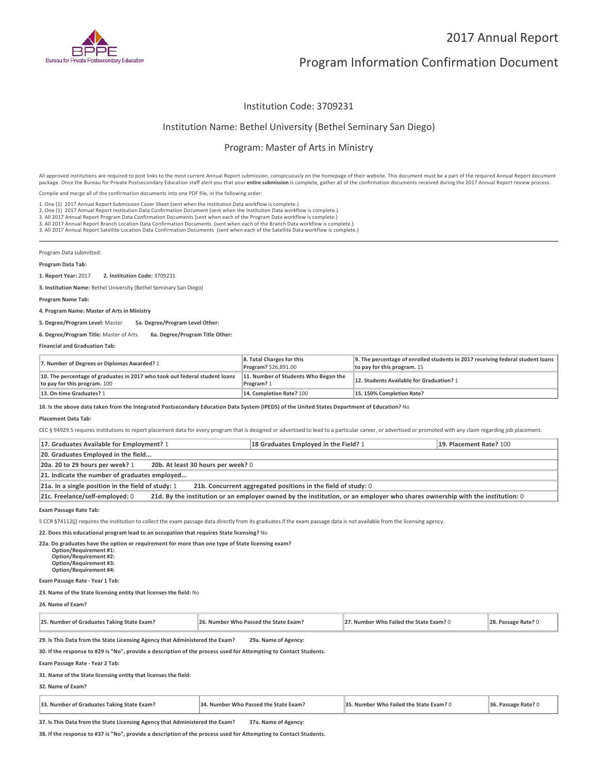

# 2017 Annual Report

# Program Information Confirmation Document

## Institution Code: 3709231

### Institution Name: Bethel University (Bethel Seminary San Diego)

## Program: Master of Arts in Ministry

All approved institutions are required to post links to the most current Annual Report submission, conspicuously on the homepage of their website. This document must be a part of the required Annual Report document package. Once the Bureau for Private Postsecondary Education staff alert you that your **entire submission** is complete, gather all of the confirmation documents received during the 2017 Annual Report review process.

Compile and merge all of the confirmation documents into one PDF file, in the following order:

1. One (1) 2017 Annual Report Submission Cover Sheet (sent when the Institution Data workflow is complete.)

1. One (1) 2017 Annual Report Submission Cover Sheet (sent when the Institution Data workflow is complete.)<br>2. One (1) 2017 Annual Report Institution Data Confirmation Document (sent when the Institution Data workflow is c

3. All 2017 Annual Report Branch Location Data Confirmation Documents (sent when each of the Branch Data workflow is complete.)

3. All 2017 Annual Report Satellite Location Data Confirmation Documents (sent when each of the Satellite Data workflow is complete.)

Program Data submitted:

#### **Program Data Tab:**

**1. Report Year:** 2017 **2. Institution Code:** <sup>3709231</sup>

**3. Institution Name:** Bethel University (Bethel Seminary San Diego)

**Program Name Tab:**

**4. Program Name: Master of Arts in Ministry**

**5. Degree/Program Level:** Master **5a. Degree/Program Level Other:**

### **6. Degree/Program Title:** Master of Arts **6a. Degree/Program Title Other:**

**Financial and Graduation Tab:**

| 7. Number of Degrees or Diplomas Awarded? 1                                                                | 8. Total Charges for this<br><b>Program? \$26,891.00</b> | 9. The percentage of enrolled students in 2017 receiving federal student loans<br>to pay for this program. $15$ |
|------------------------------------------------------------------------------------------------------------|----------------------------------------------------------|-----------------------------------------------------------------------------------------------------------------|
| 10. The percentage of graduates in 2017 who took out federal student loans<br>to pay for this program. 100 | 11. Number of Students Who Began the<br>Program? 1       | 12. Students Available for Graduation? 1                                                                        |
| 13. On-time Graduates? 1                                                                                   | 14. Completion Rate? 100                                 | 15.150% Completion Rate?                                                                                        |

**16. Is the above data taken from the Integrated Postsecondary Education Data System (IPEDS) of the United States Department of Education?** No

#### **Placement Data Tab:**

CEC § 94929.5 requires institutions to report placement data for every program that is designed or advertised to lead to a particular career, or advertised or promoted with any claim regarding job placement.

| 17. Graduates Available for Employment? 1                                                                                                                       | 18 Graduates Employed in the Field? 1 | 19. Placement Rate? 100 |  |  |
|-----------------------------------------------------------------------------------------------------------------------------------------------------------------|---------------------------------------|-------------------------|--|--|
| 20. Graduates Employed in the field                                                                                                                             |                                       |                         |  |  |
| 20a. 20 to 29 hours per week? 1<br>20b. At least 30 hours per week? 0                                                                                           |                                       |                         |  |  |
| 21. Indicate the number of graduates employed                                                                                                                   |                                       |                         |  |  |
| 21a. In a single position in the field of study: 1<br>21b. Concurrent aggregated positions in the field of study: 0                                             |                                       |                         |  |  |
| 21d. By the institution or an employer owned by the institution, or an employer who shares ownership with the institution: 0<br>21c. Freelance/self-employed: 0 |                                       |                         |  |  |

**Exam Passage Rate Tab:**

5 CCR §74112(j) requires the institution to collect the exam passage data directly from its graduates if the exam passage data is not available from the licensing agency.

**22. Does this educational program lead to an occupation that requires State licensing?** No

**22a. Do graduates have the option or requirement for more than one type of State licensing exam? Option/Requirement #1: Option/Requirement #2: Option/Requirement #3: Option/Requirement #4:**

**Exam Passage Rate - Year 1 Tab:**

### **23. Name of the State licensing entity that licenses the field:** No

**24. Name of Exam?**

| 25. Number of Graduates Taking State Exam?                                   | 26. Number Who Passed the State Exam? | 27. Number Who Failed the State Exam? 0 | $\parallel$ 28. Passage Rate? 0 |
|------------------------------------------------------------------------------|---------------------------------------|-----------------------------------------|---------------------------------|
| 29. Is This Data from the State Licensing Agency that Administered the Exam? | 29a. Name of Agency:                  |                                         |                                 |

**30. If the response to #29 is "No", provide a description of the process used for Attempting to Contact Students.**

**Exam Passage Rate - Year 2 Tab:**

**31. Name of the State licensing entity that licenses the field:**

**32. Name of Exam?**

| 33. Number of Graduates Taking State Exam? | 34. Number Who Passed the State Exam? | 35. Number Who Failed the State Exam? 0 | 36. Passage Rate? 0 |
|--------------------------------------------|---------------------------------------|-----------------------------------------|---------------------|
|--------------------------------------------|---------------------------------------|-----------------------------------------|---------------------|

**37. Is This Data from the State Licensing Agency that Administered the Exam? 37a. Name of Agency:**

**38. If the response to #37 is "No", provide a description of the process used for Attempting to Contact Students.**